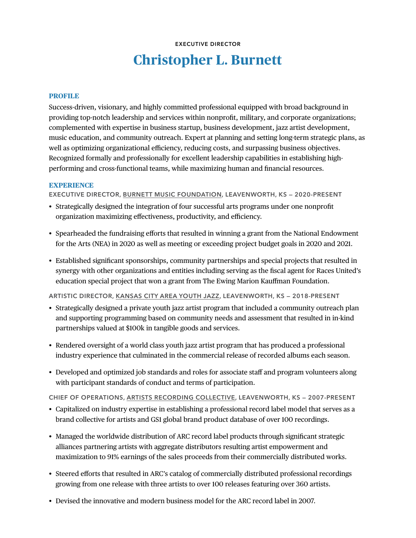# **EXECUTIVE DIRECTOR Christopher L. Burnett**

#### **PROFILE**

Success-driven, visionary, and highly committed professional equipped with broad background in providing top-notch leadership and services within nonprofit, military, and corporate organizations; complemented with expertise in business startup, business development, jazz artist development, music education, and community outreach. Expert at planning and setting long-term strategic plans, as well as optimizing organizational efficiency, reducing costs, and surpassing business objectives. Recognized formally and professionally for excellent leadership capabilities in establishing highperforming and cross-functional teams, while maximizing human and financial resources.

#### **EXPERIENCE**

**EXECUTIVE DIRECTOR, BURNETT MUSIC FOUNDATION, LEAVENWORTH, KS — 2020-PRESENT**

- Strategically designed the integration of four successful arts programs under one nonprofit organization maximizing effectiveness, productivity, and efficiency.
- Spearheaded the fundraising efforts that resulted in winning a grant from the National Endowment for the Arts (NEA) in 2020 as well as meeting or exceeding project budget goals in 2020 and 2021.
- Established significant sponsorships, community partnerships and special projects that resulted in synergy with other organizations and entities including serving as the fiscal agent for Races United's education special project that won a grant from The Ewing Marion Kauffman Foundation.

**ARTISTIC DIRECTOR, KANSAS CITY AREA YOUTH JAZZ, LEAVENWORTH, KS — 2018-PRESENT**

- Strategically designed a private youth jazz artist program that included a community outreach plan and supporting programming based on community needs and assessment that resulted in in-kind partnerships valued at \$100k in tangible goods and services.
- Rendered oversight of a world class youth jazz artist program that has produced a professional industry experience that culminated in the commercial release of recorded albums each season.
- Developed and optimized job standards and roles for associate staff and program volunteers along with participant standards of conduct and terms of participation.

**CHIEF OF OPERATIONS, ARTISTS RECORDING COLLECTIVE, LEAVENWORTH, KS — 2007-PRESENT**

- Capitalized on industry expertise in establishing a professional record label model that serves as a brand collective for artists and GS1 global brand product database of over 100 recordings.
- Managed the worldwide distribution of ARC record label products through significant strategic alliances partnering artists with aggregate distributors resulting artist empowerment and maximization to 91% earnings of the sales proceeds from their commercially distributed works.
- Steered efforts that resulted in ARC's catalog of commercially distributed professional recordings growing from one release with three artists to over 100 releases featuring over 360 artists.
- Devised the innovative and modern business model for the ARC record label in 2007.